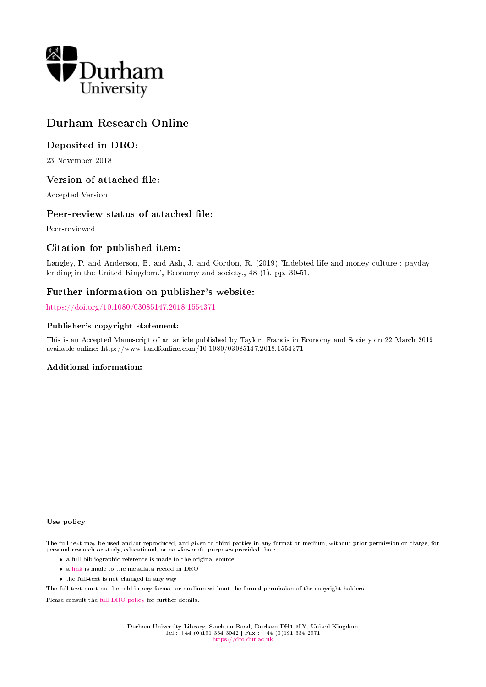

# Durham Research Online

# Deposited in DRO:

23 November 2018

# Version of attached file:

Accepted Version

# Peer-review status of attached file:

Peer-reviewed

# Citation for published item:

Langley, P. and Anderson, B. and Ash, J. and Gordon, R. (2019) 'Indebted life and money culture : payday lending in the United Kingdom.', Economy and society., 48 (1). pp. 30-51.

# Further information on publisher's website:

<https://doi.org/10.1080/03085147.2018.1554371>

## Publisher's copyright statement:

This is an Accepted Manuscript of an article published by Taylor Francis in Economy and Society on 22 March 2019 available online: http://www.tandfonline.com/10.1080/03085147.2018.1554371

#### Additional information:

#### Use policy

The full-text may be used and/or reproduced, and given to third parties in any format or medium, without prior permission or charge, for personal research or study, educational, or not-for-profit purposes provided that:

- a full bibliographic reference is made to the original source
- a [link](http://dro.dur.ac.uk/26848/) is made to the metadata record in DRO
- the full-text is not changed in any way

The full-text must not be sold in any format or medium without the formal permission of the copyright holders.

Please consult the [full DRO policy](https://dro.dur.ac.uk/policies/usepolicy.pdf) for further details.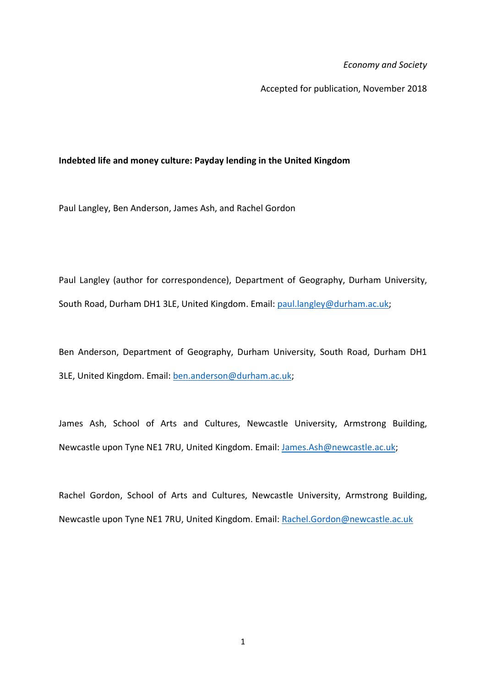*Economy and Society*

Accepted for publication, November 2018

# **Indebted life and money culture: Payday lending in the United Kingdom**

Paul Langley, Ben Anderson, James Ash, and Rachel Gordon

Paul Langley (author for correspondence), Department of Geography, Durham University, South Road, Durham DH1 3LE, United Kingdom. Email[: paul.langley@durham.ac.uk;](mailto:paul.langley@durham.ac.uk)

Ben Anderson, Department of Geography, Durham University, South Road, Durham DH1 3LE, United Kingdom. Email: [ben.anderson@durham.ac.uk;](mailto:ben.anderson@durham.ac.uk)

James Ash, School of Arts and Cultures, Newcastle University, Armstrong Building, Newcastle upon Tyne NE1 7RU, United Kingdom. Email: [James.Ash@newcastle.ac.uk;](mailto:James.Ash@newcastle.ac.uk)

Rachel Gordon, School of Arts and Cultures, Newcastle University, Armstrong Building, Newcastle upon Tyne NE1 7RU, United Kingdom. Email: [Rachel.Gordon@newcastle.ac.uk](mailto:Rachel.Gordon@newcastle.ac.uk)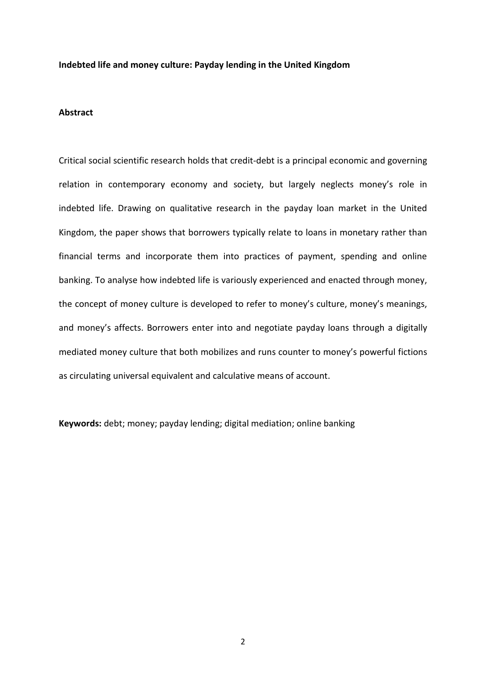# **Indebted life and money culture: Payday lending in the United Kingdom**

## **Abstract**

Critical social scientific research holds that credit-debt is a principal economic and governing relation in contemporary economy and society, but largely neglects money's role in indebted life. Drawing on qualitative research in the payday loan market in the United Kingdom, the paper shows that borrowers typically relate to loans in monetary rather than financial terms and incorporate them into practices of payment, spending and online banking. To analyse how indebted life is variously experienced and enacted through money, the concept of money culture is developed to refer to money's culture, money's meanings, and money's affects. Borrowers enter into and negotiate payday loans through a digitally mediated money culture that both mobilizes and runs counter to money's powerful fictions as circulating universal equivalent and calculative means of account.

**Keywords:** debt; money; payday lending; digital mediation; online banking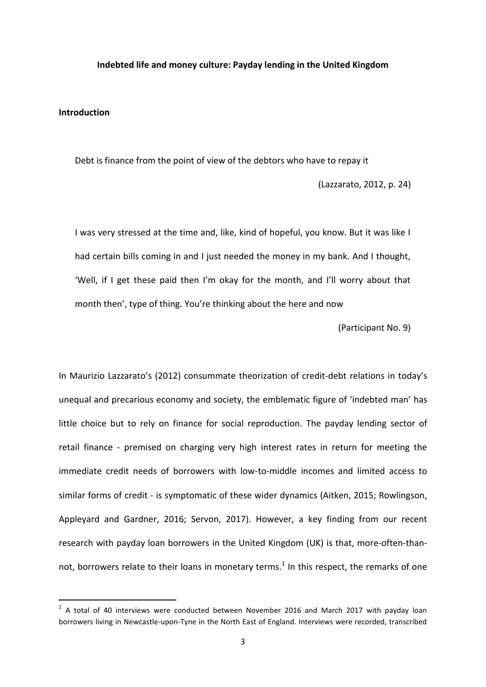### **Indebted life and money culture: Payday lending in the United Kingdom**

### **Introduction**

1

Debt is finance from the point of view of the debtors who have to repay it (Lazzarato, 2012, p. 24)

I was very stressed at the time and, like, kind of hopeful, you know. But it was like I had certain bills coming in and I just needed the money in my bank. And I thought, 'Well, if I get these paid then I'm okay for the month, and I'll worry about that month then', type of thing. You're thinking about the here and now

(Participant No. 9)

In Maurizio Lazzarato's (2012) consummate theorization of credit-debt relations in today's unequal and precarious economy and society, the emblematic figure of 'indebted man' has little choice but to rely on finance for social reproduction. The payday lending sector of retail finance - premised on charging very high interest rates in return for meeting the immediate credit needs of borrowers with low-to-middle incomes and limited access to similar forms of credit - is symptomatic of these wider dynamics (Aitken, 2015; Rowlingson, Appleyard and Gardner, 2016; Servon, 2017). However, a key finding from our recent research with payday loan borrowers in the United Kingdom (UK) is that, more-often-thannot, borrowers relate to their loans in monetary terms.<sup>1</sup> In this respect, the remarks of one

 $1$  A total of 40 interviews were conducted between November 2016 and March 2017 with payday loan borrowers living in Newcastle-upon-Tyne in the North East of England. Interviews were recorded, transcribed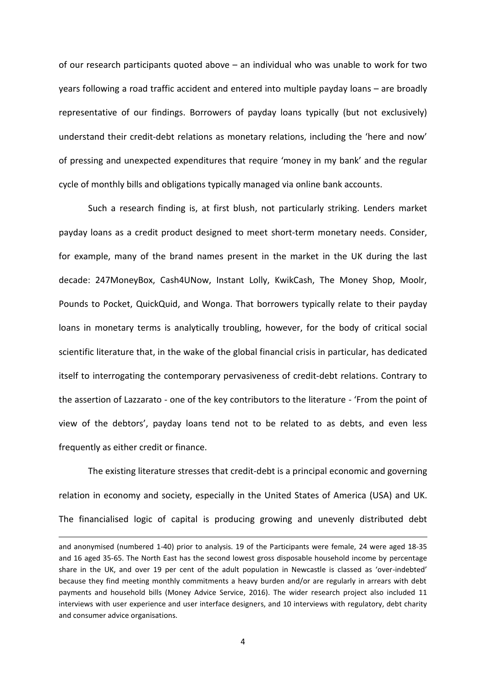of our research participants quoted above – an individual who was unable to work for two years following a road traffic accident and entered into multiple payday loans – are broadly representative of our findings. Borrowers of payday loans typically (but not exclusively) understand their credit-debt relations as monetary relations, including the 'here and now' of pressing and unexpected expenditures that require 'money in my bank' and the regular cycle of monthly bills and obligations typically managed via online bank accounts.

Such a research finding is, at first blush, not particularly striking. Lenders market payday loans as a credit product designed to meet short-term monetary needs. Consider, for example, many of the brand names present in the market in the UK during the last decade: 247MoneyBox, Cash4UNow, Instant Lolly, KwikCash, The Money Shop, Moolr, Pounds to Pocket, QuickQuid, and Wonga. That borrowers typically relate to their payday loans in monetary terms is analytically troubling, however, for the body of critical social scientific literature that, in the wake of the global financial crisis in particular, has dedicated itself to interrogating the contemporary pervasiveness of credit-debt relations. Contrary to the assertion of Lazzarato - one of the key contributors to the literature - 'From the point of view of the debtors', payday loans tend not to be related to as debts, and even less frequently as either credit or finance.

The existing literature stresses that credit-debt is a principal economic and governing relation in economy and society, especially in the United States of America (USA) and UK. The financialised logic of capital is producing growing and unevenly distributed debt

**.** 

and anonymised (numbered 1-40) prior to analysis. 19 of the Participants were female, 24 were aged 18-35 and 16 aged 35-65. The North East has the second lowest gross disposable household income by percentage share in the UK, and over 19 per cent of the adult population in Newcastle is classed as 'over-indebted' because they find meeting monthly commitments a heavy burden and/or are regularly in arrears with debt payments and household bills (Money Advice Service, 2016). The wider research project also included 11 interviews with user experience and user interface designers, and 10 interviews with regulatory, debt charity and consumer advice organisations.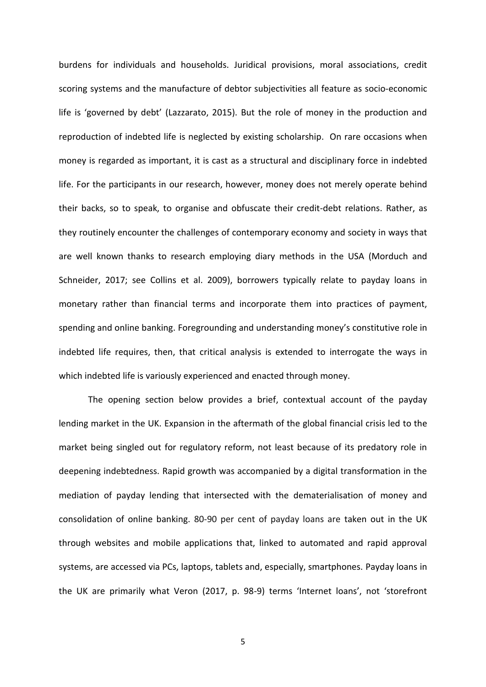burdens for individuals and households. Juridical provisions, moral associations, credit scoring systems and the manufacture of debtor subjectivities all feature as socio-economic life is 'governed by debt' (Lazzarato, 2015). But the role of money in the production and reproduction of indebted life is neglected by existing scholarship. On rare occasions when money is regarded as important, it is cast as a structural and disciplinary force in indebted life. For the participants in our research, however, money does not merely operate behind their backs, so to speak, to organise and obfuscate their credit-debt relations. Rather, as they routinely encounter the challenges of contemporary economy and society in ways that are well known thanks to research employing diary methods in the USA (Morduch and Schneider, 2017; see Collins et al. 2009), borrowers typically relate to payday loans in monetary rather than financial terms and incorporate them into practices of payment, spending and online banking. Foregrounding and understanding money's constitutive role in indebted life requires, then, that critical analysis is extended to interrogate the ways in which indebted life is variously experienced and enacted through money.

The opening section below provides a brief, contextual account of the payday lending market in the UK. Expansion in the aftermath of the global financial crisis led to the market being singled out for regulatory reform, not least because of its predatory role in deepening indebtedness. Rapid growth was accompanied by a digital transformation in the mediation of payday lending that intersected with the dematerialisation of money and consolidation of online banking. 80-90 per cent of payday loans are taken out in the UK through websites and mobile applications that, linked to automated and rapid approval systems, are accessed via PCs, laptops, tablets and, especially, smartphones. Payday loans in the UK are primarily what Veron (2017, p. 98-9) terms 'Internet loans', not 'storefront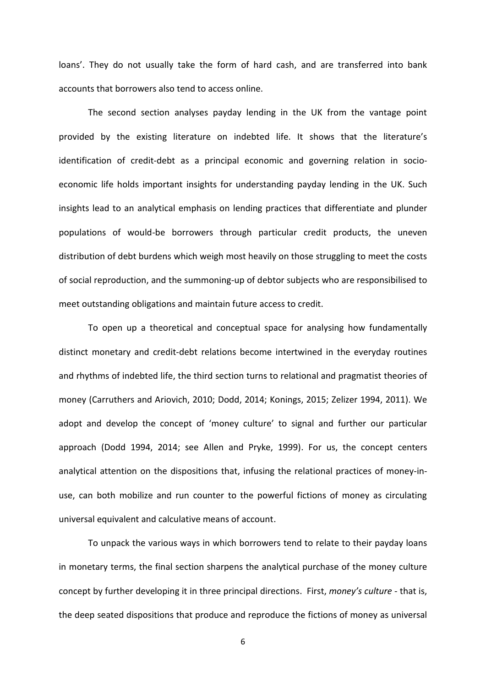loans'. They do not usually take the form of hard cash, and are transferred into bank accounts that borrowers also tend to access online.

The second section analyses payday lending in the UK from the vantage point provided by the existing literature on indebted life. It shows that the literature's identification of credit-debt as a principal economic and governing relation in socioeconomic life holds important insights for understanding payday lending in the UK. Such insights lead to an analytical emphasis on lending practices that differentiate and plunder populations of would-be borrowers through particular credit products, the uneven distribution of debt burdens which weigh most heavily on those struggling to meet the costs of social reproduction, and the summoning-up of debtor subjects who are responsibilised to meet outstanding obligations and maintain future access to credit.

To open up a theoretical and conceptual space for analysing how fundamentally distinct monetary and credit-debt relations become intertwined in the everyday routines and rhythms of indebted life, the third section turns to relational and pragmatist theories of money (Carruthers and Ariovich, 2010; Dodd, 2014; Konings, 2015; Zelizer 1994, 2011). We adopt and develop the concept of 'money culture' to signal and further our particular approach (Dodd 1994, 2014; see Allen and Pryke, 1999). For us, the concept centers analytical attention on the dispositions that, infusing the relational practices of money-inuse, can both mobilize and run counter to the powerful fictions of money as circulating universal equivalent and calculative means of account.

To unpack the various ways in which borrowers tend to relate to their payday loans in monetary terms, the final section sharpens the analytical purchase of the money culture concept by further developing it in three principal directions. First, *money's culture* - that is, the deep seated dispositions that produce and reproduce the fictions of money as universal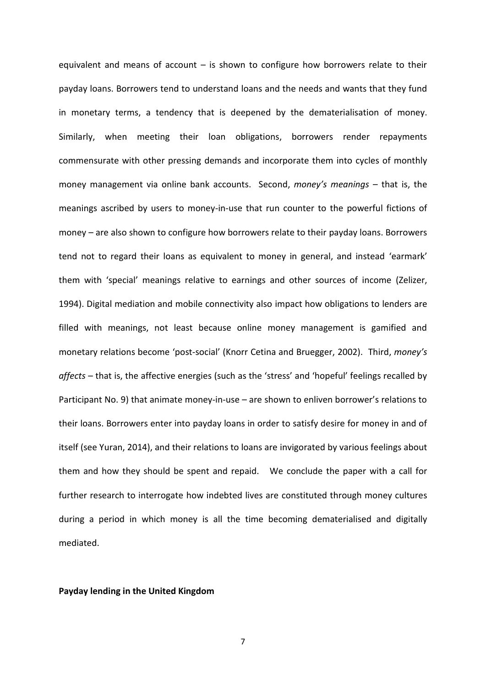equivalent and means of account  $-$  is shown to configure how borrowers relate to their payday loans. Borrowers tend to understand loans and the needs and wants that they fund in monetary terms, a tendency that is deepened by the dematerialisation of money. Similarly, when meeting their loan obligations, borrowers render repayments commensurate with other pressing demands and incorporate them into cycles of monthly money management via online bank accounts. Second, *money's meanings* – that is, the meanings ascribed by users to money-in-use that run counter to the powerful fictions of money – are also shown to configure how borrowers relate to their payday loans. Borrowers tend not to regard their loans as equivalent to money in general, and instead 'earmark' them with 'special' meanings relative to earnings and other sources of income (Zelizer, 1994). Digital mediation and mobile connectivity also impact how obligations to lenders are filled with meanings, not least because online money management is gamified and monetary relations become 'post-social' (Knorr Cetina and Bruegger, 2002). Third, *money's affects* – that is, the affective energies (such as the 'stress' and 'hopeful' feelings recalled by Participant No. 9) that animate money-in-use – are shown to enliven borrower's relations to their loans. Borrowers enter into payday loans in order to satisfy desire for money in and of itself (see Yuran, 2014), and their relations to loans are invigorated by various feelings about them and how they should be spent and repaid. We conclude the paper with a call for further research to interrogate how indebted lives are constituted through money cultures during a period in which money is all the time becoming dematerialised and digitally mediated.

#### **Payday lending in the United Kingdom**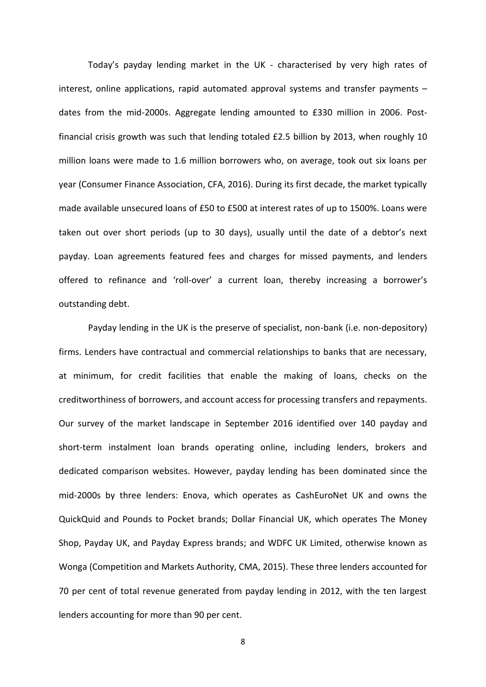Today's payday lending market in the UK - characterised by very high rates of interest, online applications, rapid automated approval systems and transfer payments – dates from the mid-2000s. Aggregate lending amounted to £330 million in 2006. Postfinancial crisis growth was such that lending totaled £2.5 billion by 2013, when roughly 10 million loans were made to 1.6 million borrowers who, on average, took out six loans per year (Consumer Finance Association, CFA, 2016). During its first decade, the market typically made available unsecured loans of £50 to £500 at interest rates of up to 1500%. Loans were taken out over short periods (up to 30 days), usually until the date of a debtor's next payday. Loan agreements featured fees and charges for missed payments, and lenders offered to refinance and 'roll-over' a current loan, thereby increasing a borrower's outstanding debt.

Payday lending in the UK is the preserve of specialist, non-bank (i.e. non-depository) firms. Lenders have contractual and commercial relationships to banks that are necessary, at minimum, for credit facilities that enable the making of loans, checks on the creditworthiness of borrowers, and account access for processing transfers and repayments. Our survey of the market landscape in September 2016 identified over 140 payday and short-term instalment loan brands operating online, including lenders, brokers and dedicated comparison websites. However, payday lending has been dominated since the mid-2000s by three lenders: Enova, which operates as CashEuroNet UK and owns the QuickQuid and Pounds to Pocket brands; Dollar Financial UK, which operates The Money Shop, Payday UK, and Payday Express brands; and WDFC UK Limited, otherwise known as Wonga (Competition and Markets Authority, CMA, 2015). These three lenders accounted for 70 per cent of total revenue generated from payday lending in 2012, with the ten largest lenders accounting for more than 90 per cent.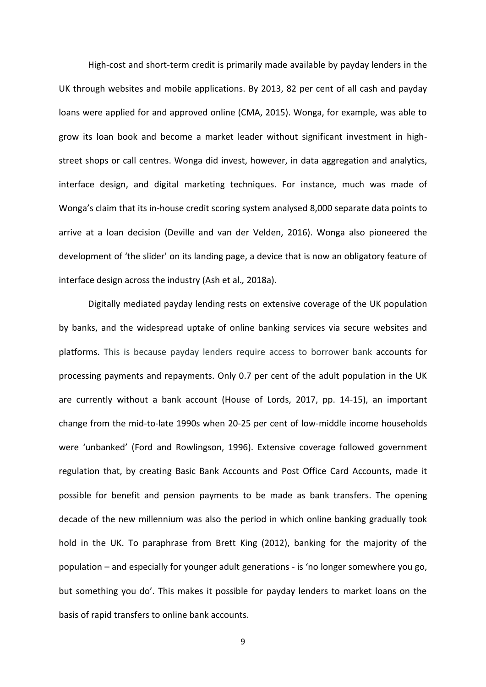High-cost and short-term credit is primarily made available by payday lenders in the UK through websites and mobile applications. By 2013, 82 per cent of all cash and payday loans were applied for and approved online (CMA, 2015). Wonga, for example, was able to grow its loan book and become a market leader without significant investment in highstreet shops or call centres. Wonga did invest, however, in data aggregation and analytics, interface design, and digital marketing techniques. For instance, much was made of Wonga's claim that its in-house credit scoring system analysed 8,000 separate data points to arrive at a loan decision (Deville and van der Velden, 2016). Wonga also pioneered the development of 'the slider' on its landing page, a device that is now an obligatory feature of interface design across the industry (Ash et al.*,* 2018a).

Digitally mediated payday lending rests on extensive coverage of the UK population by banks, and the widespread uptake of online banking services via secure websites and platforms. This is because payday lenders require access to borrower bank accounts for processing payments and repayments. Only 0.7 per cent of the adult population in the UK are currently without a bank account (House of Lords, 2017, pp. 14-15), an important change from the mid-to-late 1990s when 20-25 per cent of low-middle income households were 'unbanked' (Ford and Rowlingson, 1996). Extensive coverage followed government regulation that, by creating Basic Bank Accounts and Post Office Card Accounts, made it possible for benefit and pension payments to be made as bank transfers. The opening decade of the new millennium was also the period in which online banking gradually took hold in the UK. To paraphrase from Brett King (2012), banking for the majority of the population – and especially for younger adult generations - is 'no longer somewhere you go, but something you do'. This makes it possible for payday lenders to market loans on the basis of rapid transfers to online bank accounts.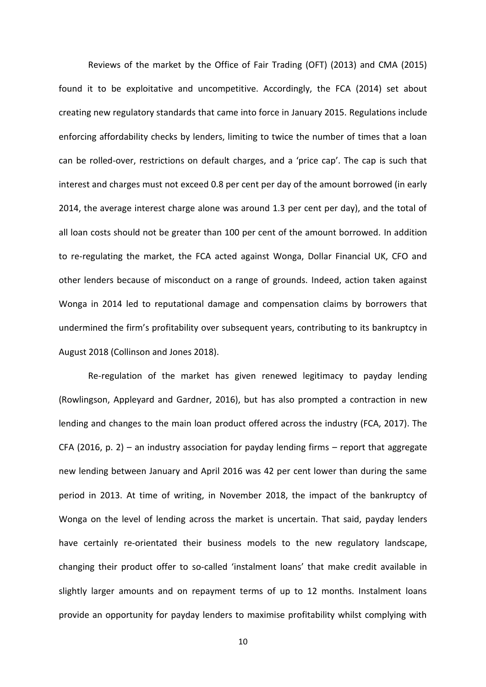Reviews of the market by the Office of Fair Trading (OFT) (2013) and CMA (2015) found it to be exploitative and uncompetitive. Accordingly, the FCA (2014) set about creating new regulatory standards that came into force in January 2015. Regulations include enforcing affordability checks by lenders, limiting to twice the number of times that a loan can be rolled-over, restrictions on default charges, and a 'price cap'. The cap is such that interest and charges must not exceed 0.8 per cent per day of the amount borrowed (in early 2014, the average interest charge alone was around 1.3 per cent per day), and the total of all loan costs should not be greater than 100 per cent of the amount borrowed. In addition to re-regulating the market, the FCA acted against Wonga, Dollar Financial UK, CFO and other lenders because of misconduct on a range of grounds. Indeed, action taken against Wonga in 2014 led to reputational damage and compensation claims by borrowers that undermined the firm's profitability over subsequent years, contributing to its bankruptcy in August 2018 (Collinson and Jones 2018).

Re-regulation of the market has given renewed legitimacy to payday lending (Rowlingson, Appleyard and Gardner, 2016), but has also prompted a contraction in new lending and changes to the main loan product offered across the industry (FCA, 2017). The CFA (2016, p. 2) – an industry association for payday lending firms – report that aggregate new lending between January and April 2016 was 42 per cent lower than during the same period in 2013. At time of writing, in November 2018, the impact of the bankruptcy of Wonga on the level of lending across the market is uncertain. That said, payday lenders have certainly re-orientated their business models to the new regulatory landscape, changing their product offer to so-called 'instalment loans' that make credit available in slightly larger amounts and on repayment terms of up to 12 months. Instalment loans provide an opportunity for payday lenders to maximise profitability whilst complying with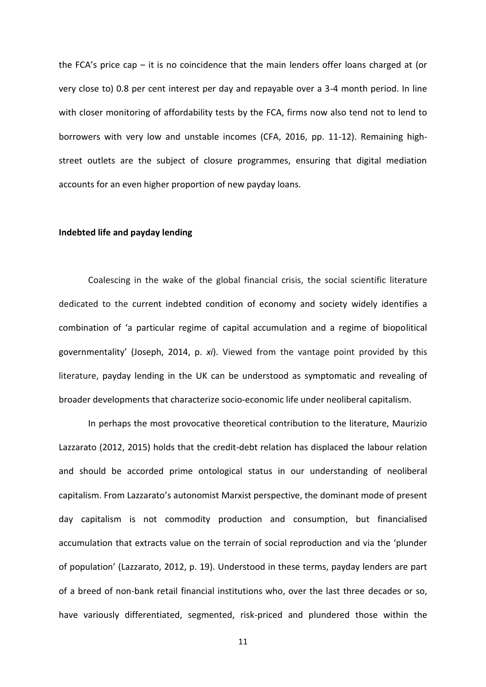the FCA's price cap – it is no coincidence that the main lenders offer loans charged at (or very close to) 0.8 per cent interest per day and repayable over a 3-4 month period. In line with closer monitoring of affordability tests by the FCA, firms now also tend not to lend to borrowers with very low and unstable incomes (CFA, 2016, pp. 11-12). Remaining highstreet outlets are the subject of closure programmes, ensuring that digital mediation accounts for an even higher proportion of new payday loans.

# **Indebted life and payday lending**

Coalescing in the wake of the global financial crisis, the social scientific literature dedicated to the current indebted condition of economy and society widely identifies a combination of 'a particular regime of capital accumulation and a regime of biopolitical governmentality' (Joseph, 2014, p. *xi*). Viewed from the vantage point provided by this literature, payday lending in the UK can be understood as symptomatic and revealing of broader developments that characterize socio-economic life under neoliberal capitalism.

In perhaps the most provocative theoretical contribution to the literature, Maurizio Lazzarato (2012, 2015) holds that the credit-debt relation has displaced the labour relation and should be accorded prime ontological status in our understanding of neoliberal capitalism. From Lazzarato's autonomist Marxist perspective, the dominant mode of present day capitalism is not commodity production and consumption, but financialised accumulation that extracts value on the terrain of social reproduction and via the 'plunder of population' (Lazzarato, 2012, p. 19). Understood in these terms, payday lenders are part of a breed of non-bank retail financial institutions who, over the last three decades or so, have variously differentiated, segmented, risk-priced and plundered those within the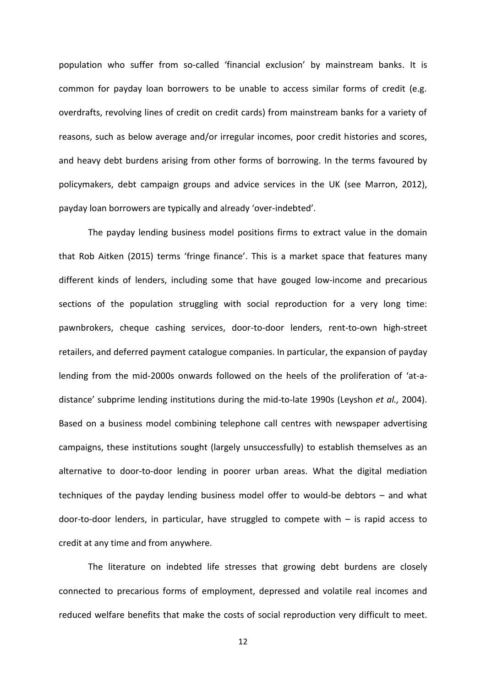population who suffer from so-called 'financial exclusion' by mainstream banks. It is common for payday loan borrowers to be unable to access similar forms of credit (e.g. overdrafts, revolving lines of credit on credit cards) from mainstream banks for a variety of reasons, such as below average and/or irregular incomes, poor credit histories and scores, and heavy debt burdens arising from other forms of borrowing. In the terms favoured by policymakers, debt campaign groups and advice services in the UK (see Marron, 2012), payday loan borrowers are typically and already 'over-indebted'.

The payday lending business model positions firms to extract value in the domain that Rob Aitken (2015) terms 'fringe finance'. This is a market space that features many different kinds of lenders, including some that have gouged low-income and precarious sections of the population struggling with social reproduction for a very long time: pawnbrokers, cheque cashing services, door-to-door lenders, rent-to-own high-street retailers, and deferred payment catalogue companies. In particular, the expansion of payday lending from the mid-2000s onwards followed on the heels of the proliferation of 'at-adistance' subprime lending institutions during the mid-to-late 1990s (Leyshon *et al.,* 2004). Based on a business model combining telephone call centres with newspaper advertising campaigns, these institutions sought (largely unsuccessfully) to establish themselves as an alternative to door-to-door lending in poorer urban areas. What the digital mediation techniques of the payday lending business model offer to would-be debtors – and what door-to-door lenders, in particular, have struggled to compete with  $-$  is rapid access to credit at any time and from anywhere.

The literature on indebted life stresses that growing debt burdens are closely connected to precarious forms of employment, depressed and volatile real incomes and reduced welfare benefits that make the costs of social reproduction very difficult to meet.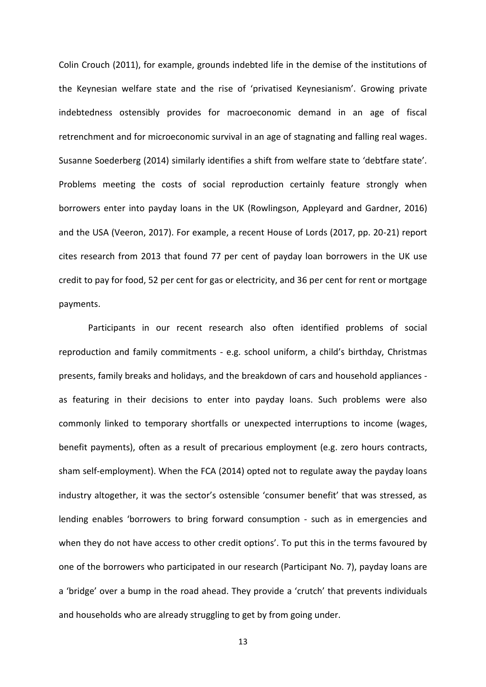Colin Crouch (2011), for example, grounds indebted life in the demise of the institutions of the Keynesian welfare state and the rise of 'privatised Keynesianism'. Growing private indebtedness ostensibly provides for macroeconomic demand in an age of fiscal retrenchment and for microeconomic survival in an age of stagnating and falling real wages. Susanne Soederberg (2014) similarly identifies a shift from welfare state to 'debtfare state'. Problems meeting the costs of social reproduction certainly feature strongly when borrowers enter into payday loans in the UK (Rowlingson, Appleyard and Gardner, 2016) and the USA (Veeron, 2017). For example, a recent House of Lords (2017, pp. 20-21) report cites research from 2013 that found 77 per cent of payday loan borrowers in the UK use credit to pay for food, 52 per cent for gas or electricity, and 36 per cent for rent or mortgage payments.

Participants in our recent research also often identified problems of social reproduction and family commitments - e.g. school uniform, a child's birthday, Christmas presents, family breaks and holidays, and the breakdown of cars and household appliances as featuring in their decisions to enter into payday loans. Such problems were also commonly linked to temporary shortfalls or unexpected interruptions to income (wages, benefit payments), often as a result of precarious employment (e.g. zero hours contracts, sham self-employment). When the FCA (2014) opted not to regulate away the payday loans industry altogether, it was the sector's ostensible 'consumer benefit' that was stressed, as lending enables 'borrowers to bring forward consumption - such as in emergencies and when they do not have access to other credit options'. To put this in the terms favoured by one of the borrowers who participated in our research (Participant No. 7), payday loans are a 'bridge' over a bump in the road ahead. They provide a 'crutch' that prevents individuals and households who are already struggling to get by from going under.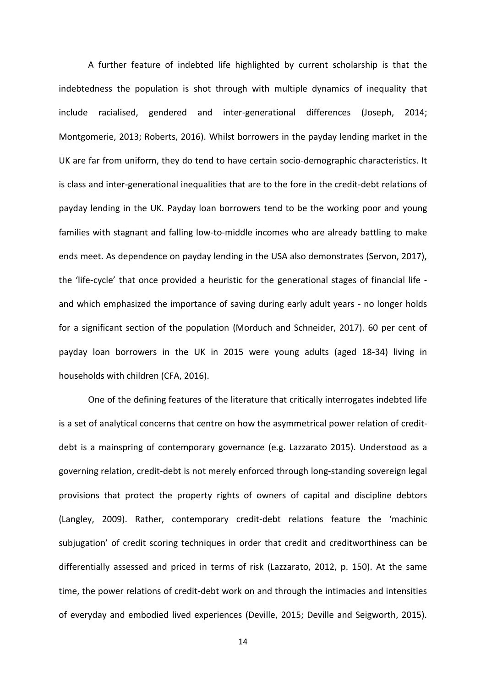A further feature of indebted life highlighted by current scholarship is that the indebtedness the population is shot through with multiple dynamics of inequality that include racialised, gendered and inter-generational differences (Joseph, 2014; Montgomerie, 2013; Roberts, 2016). Whilst borrowers in the payday lending market in the UK are far from uniform, they do tend to have certain socio-demographic characteristics. It is class and inter-generational inequalities that are to the fore in the credit-debt relations of payday lending in the UK. Payday loan borrowers tend to be the working poor and young families with stagnant and falling low-to-middle incomes who are already battling to make ends meet. As dependence on payday lending in the USA also demonstrates (Servon, 2017), the 'life-cycle' that once provided a heuristic for the generational stages of financial life and which emphasized the importance of saving during early adult years - no longer holds for a significant section of the population (Morduch and Schneider, 2017). 60 per cent of payday loan borrowers in the UK in 2015 were young adults (aged 18-34) living in households with children (CFA, 2016).

One of the defining features of the literature that critically interrogates indebted life is a set of analytical concerns that centre on how the asymmetrical power relation of creditdebt is a mainspring of contemporary governance (e.g. Lazzarato 2015). Understood as a governing relation, credit-debt is not merely enforced through long-standing sovereign legal provisions that protect the property rights of owners of capital and discipline debtors (Langley, 2009). Rather, contemporary credit-debt relations feature the 'machinic subjugation' of credit scoring techniques in order that credit and creditworthiness can be differentially assessed and priced in terms of risk (Lazzarato, 2012, p. 150). At the same time, the power relations of credit-debt work on and through the intimacies and intensities of everyday and embodied lived experiences (Deville, 2015; Deville and Seigworth, 2015).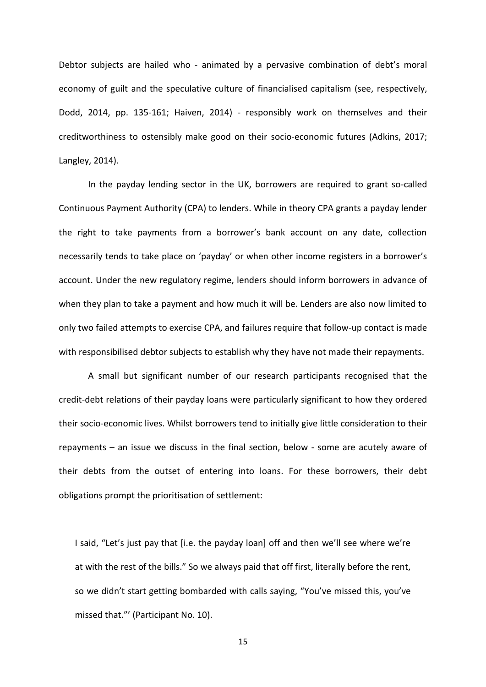Debtor subjects are hailed who - animated by a pervasive combination of debt's moral economy of guilt and the speculative culture of financialised capitalism (see, respectively, Dodd, 2014, pp. 135-161; Haiven, 2014) - responsibly work on themselves and their creditworthiness to ostensibly make good on their socio-economic futures (Adkins, 2017; Langley, 2014).

In the payday lending sector in the UK, borrowers are required to grant so-called Continuous Payment Authority (CPA) to lenders. While in theory CPA grants a payday lender the right to take payments from a borrower's bank account on any date, collection necessarily tends to take place on 'payday' or when other income registers in a borrower's account. Under the new regulatory regime, lenders should inform borrowers in advance of when they plan to take a payment and how much it will be. Lenders are also now limited to only two failed attempts to exercise CPA, and failures require that follow-up contact is made with responsibilised debtor subjects to establish why they have not made their repayments.

A small but significant number of our research participants recognised that the credit-debt relations of their payday loans were particularly significant to how they ordered their socio-economic lives. Whilst borrowers tend to initially give little consideration to their repayments – an issue we discuss in the final section, below - some are acutely aware of their debts from the outset of entering into loans. For these borrowers, their debt obligations prompt the prioritisation of settlement:

I said, "Let's just pay that [i.e. the payday loan] off and then we'll see where we're at with the rest of the bills." So we always paid that off first, literally before the rent, so we didn't start getting bombarded with calls saying, "You've missed this, you've missed that."' (Participant No. 10).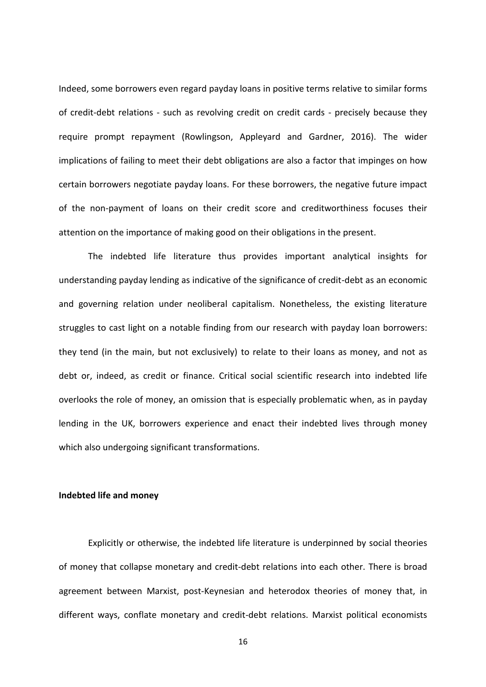Indeed, some borrowers even regard payday loans in positive terms relative to similar forms of credit-debt relations - such as revolving credit on credit cards - precisely because they require prompt repayment (Rowlingson, Appleyard and Gardner, 2016). The wider implications of failing to meet their debt obligations are also a factor that impinges on how certain borrowers negotiate payday loans. For these borrowers, the negative future impact of the non-payment of loans on their credit score and creditworthiness focuses their attention on the importance of making good on their obligations in the present.

The indebted life literature thus provides important analytical insights for understanding payday lending as indicative of the significance of credit-debt as an economic and governing relation under neoliberal capitalism. Nonetheless, the existing literature struggles to cast light on a notable finding from our research with payday loan borrowers: they tend (in the main, but not exclusively) to relate to their loans as money, and not as debt or, indeed, as credit or finance. Critical social scientific research into indebted life overlooks the role of money, an omission that is especially problematic when, as in payday lending in the UK, borrowers experience and enact their indebted lives through money which also undergoing significant transformations.

# **Indebted life and money**

Explicitly or otherwise, the indebted life literature is underpinned by social theories of money that collapse monetary and credit-debt relations into each other. There is broad agreement between Marxist, post-Keynesian and heterodox theories of money that, in different ways, conflate monetary and credit-debt relations. Marxist political economists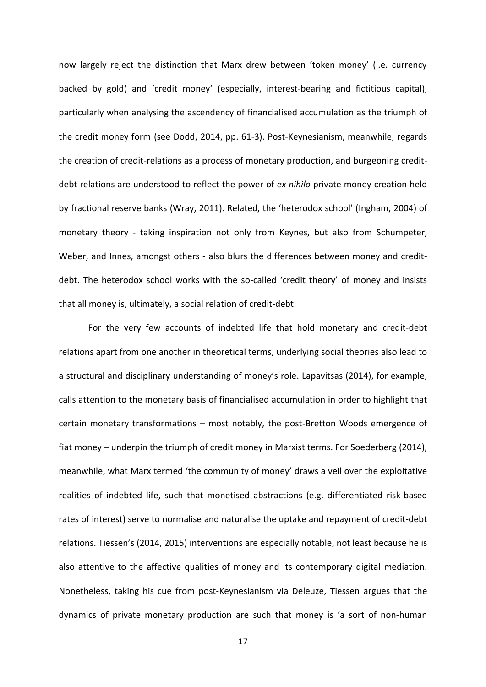now largely reject the distinction that Marx drew between 'token money' (i.e. currency backed by gold) and 'credit money' (especially, interest-bearing and fictitious capital), particularly when analysing the ascendency of financialised accumulation as the triumph of the credit money form (see Dodd, 2014, pp. 61-3). Post-Keynesianism, meanwhile, regards the creation of credit-relations as a process of monetary production, and burgeoning creditdebt relations are understood to reflect the power of *ex nihilo* private money creation held by fractional reserve banks (Wray, 2011). Related, the 'heterodox school' (Ingham, 2004) of monetary theory - taking inspiration not only from Keynes, but also from Schumpeter, Weber, and Innes, amongst others - also blurs the differences between money and creditdebt. The heterodox school works with the so-called 'credit theory' of money and insists that all money is, ultimately, a social relation of credit-debt.

For the very few accounts of indebted life that hold monetary and credit-debt relations apart from one another in theoretical terms, underlying social theories also lead to a structural and disciplinary understanding of money's role. Lapavitsas (2014), for example, calls attention to the monetary basis of financialised accumulation in order to highlight that certain monetary transformations – most notably, the post-Bretton Woods emergence of fiat money – underpin the triumph of credit money in Marxist terms. For Soederberg (2014), meanwhile, what Marx termed 'the community of money' draws a veil over the exploitative realities of indebted life, such that monetised abstractions (e.g. differentiated risk-based rates of interest) serve to normalise and naturalise the uptake and repayment of credit-debt relations. Tiessen's (2014, 2015) interventions are especially notable, not least because he is also attentive to the affective qualities of money and its contemporary digital mediation. Nonetheless, taking his cue from post-Keynesianism via Deleuze, Tiessen argues that the dynamics of private monetary production are such that money is 'a sort of non-human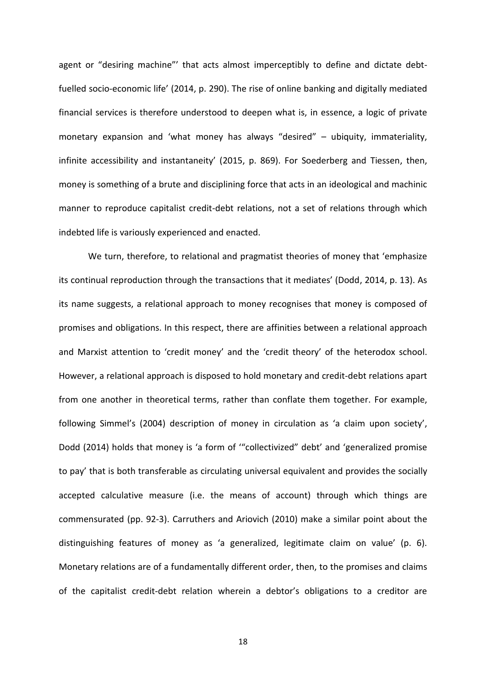agent or "desiring machine"' that acts almost imperceptibly to define and dictate debtfuelled socio-economic life' (2014, p. 290). The rise of online banking and digitally mediated financial services is therefore understood to deepen what is, in essence, a logic of private monetary expansion and 'what money has always "desired" – ubiquity, immateriality, infinite accessibility and instantaneity' (2015, p. 869). For Soederberg and Tiessen, then, money is something of a brute and disciplining force that acts in an ideological and machinic manner to reproduce capitalist credit-debt relations, not a set of relations through which indebted life is variously experienced and enacted.

We turn, therefore, to relational and pragmatist theories of money that 'emphasize its continual reproduction through the transactions that it mediates' (Dodd, 2014, p. 13). As its name suggests, a relational approach to money recognises that money is composed of promises and obligations. In this respect, there are affinities between a relational approach and Marxist attention to 'credit money' and the 'credit theory' of the heterodox school. However, a relational approach is disposed to hold monetary and credit-debt relations apart from one another in theoretical terms, rather than conflate them together. For example, following Simmel's (2004) description of money in circulation as 'a claim upon society', Dodd (2014) holds that money is 'a form of '"collectivized" debt' and 'generalized promise to pay' that is both transferable as circulating universal equivalent and provides the socially accepted calculative measure (i.e. the means of account) through which things are commensurated (pp. 92-3). Carruthers and Ariovich (2010) make a similar point about the distinguishing features of money as 'a generalized, legitimate claim on value' (p. 6). Monetary relations are of a fundamentally different order, then, to the promises and claims of the capitalist credit-debt relation wherein a debtor's obligations to a creditor are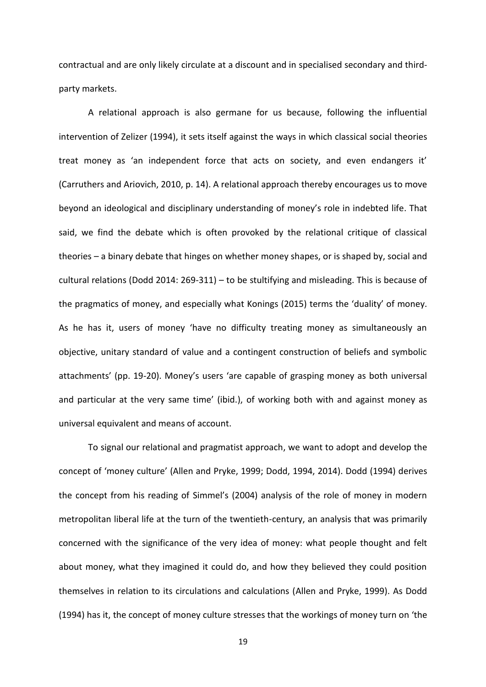contractual and are only likely circulate at a discount and in specialised secondary and thirdparty markets.

A relational approach is also germane for us because, following the influential intervention of Zelizer (1994), it sets itself against the ways in which classical social theories treat money as 'an independent force that acts on society, and even endangers it' (Carruthers and Ariovich, 2010, p. 14). A relational approach thereby encourages us to move beyond an ideological and disciplinary understanding of money's role in indebted life. That said, we find the debate which is often provoked by the relational critique of classical theories – a binary debate that hinges on whether money shapes, or is shaped by, social and cultural relations (Dodd 2014: 269-311) – to be stultifying and misleading. This is because of the pragmatics of money, and especially what Konings (2015) terms the 'duality' of money. As he has it, users of money 'have no difficulty treating money as simultaneously an objective, unitary standard of value and a contingent construction of beliefs and symbolic attachments' (pp. 19-20). Money's users 'are capable of grasping money as both universal and particular at the very same time' (ibid.), of working both with and against money as universal equivalent and means of account.

To signal our relational and pragmatist approach, we want to adopt and develop the concept of 'money culture' (Allen and Pryke, 1999; Dodd, 1994, 2014). Dodd (1994) derives the concept from his reading of Simmel's (2004) analysis of the role of money in modern metropolitan liberal life at the turn of the twentieth-century, an analysis that was primarily concerned with the significance of the very idea of money: what people thought and felt about money, what they imagined it could do, and how they believed they could position themselves in relation to its circulations and calculations (Allen and Pryke, 1999). As Dodd (1994) has it, the concept of money culture stresses that the workings of money turn on 'the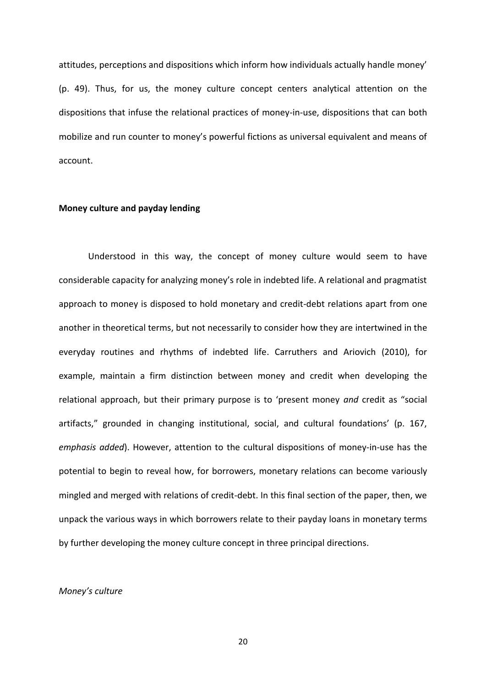attitudes, perceptions and dispositions which inform how individuals actually handle money' (p. 49). Thus, for us, the money culture concept centers analytical attention on the dispositions that infuse the relational practices of money-in-use, dispositions that can both mobilize and run counter to money's powerful fictions as universal equivalent and means of account.

#### **Money culture and payday lending**

Understood in this way, the concept of money culture would seem to have considerable capacity for analyzing money's role in indebted life. A relational and pragmatist approach to money is disposed to hold monetary and credit-debt relations apart from one another in theoretical terms, but not necessarily to consider how they are intertwined in the everyday routines and rhythms of indebted life. Carruthers and Ariovich (2010), for example, maintain a firm distinction between money and credit when developing the relational approach, but their primary purpose is to 'present money *and* credit as "social artifacts," grounded in changing institutional, social, and cultural foundations' (p. 167, *emphasis added*). However, attention to the cultural dispositions of money-in-use has the potential to begin to reveal how, for borrowers, monetary relations can become variously mingled and merged with relations of credit-debt. In this final section of the paper, then, we unpack the various ways in which borrowers relate to their payday loans in monetary terms by further developing the money culture concept in three principal directions.

# *Money's culture*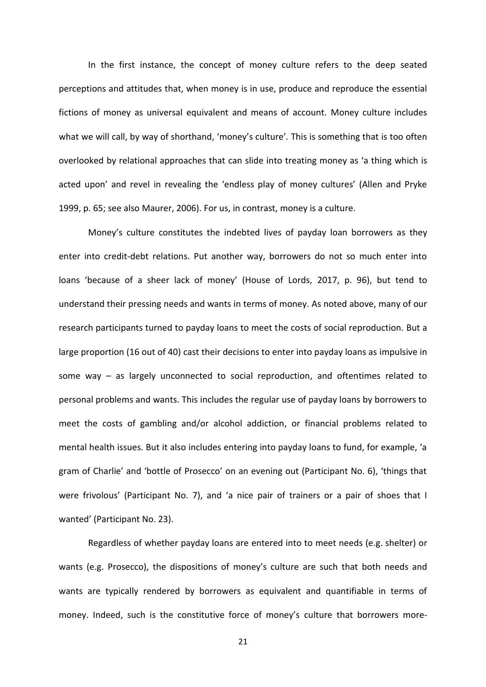In the first instance, the concept of money culture refers to the deep seated perceptions and attitudes that, when money is in use, produce and reproduce the essential fictions of money as universal equivalent and means of account. Money culture includes what we will call, by way of shorthand, 'money's culture'*.* This is something that is too often overlooked by relational approaches that can slide into treating money as 'a thing which is acted upon' and revel in revealing the 'endless play of money cultures' (Allen and Pryke 1999, p. 65; see also Maurer, 2006). For us, in contrast, money is a culture.

Money's culture constitutes the indebted lives of payday loan borrowers as they enter into credit-debt relations. Put another way, borrowers do not so much enter into loans 'because of a sheer lack of money' (House of Lords, 2017, p. 96), but tend to understand their pressing needs and wants in terms of money. As noted above, many of our research participants turned to payday loans to meet the costs of social reproduction. But a large proportion (16 out of 40) cast their decisions to enter into payday loans as impulsive in some way – as largely unconnected to social reproduction, and oftentimes related to personal problems and wants. This includes the regular use of payday loans by borrowers to meet the costs of gambling and/or alcohol addiction, or financial problems related to mental health issues. But it also includes entering into payday loans to fund, for example, 'a gram of Charlie' and 'bottle of Prosecco' on an evening out (Participant No. 6), 'things that were frivolous' (Participant No. 7), and 'a nice pair of trainers or a pair of shoes that I wanted' (Participant No. 23).

Regardless of whether payday loans are entered into to meet needs (e.g. shelter) or wants (e.g. Prosecco), the dispositions of money's culture are such that both needs and wants are typically rendered by borrowers as equivalent and quantifiable in terms of money. Indeed, such is the constitutive force of money's culture that borrowers more-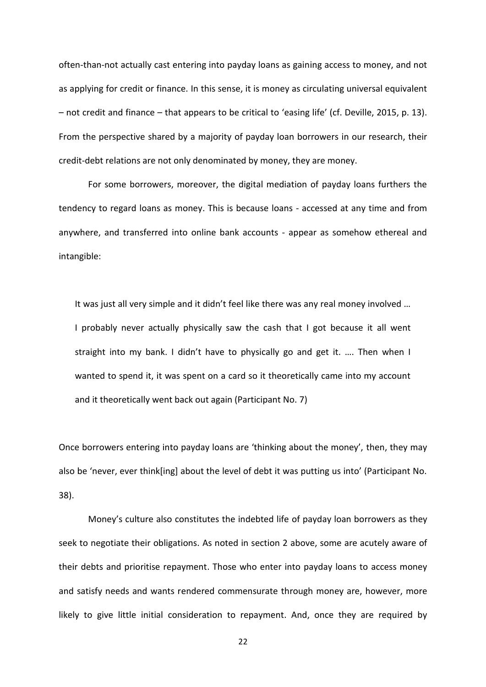often-than-not actually cast entering into payday loans as gaining access to money, and not as applying for credit or finance. In this sense, it is money as circulating universal equivalent – not credit and finance – that appears to be critical to 'easing life' (cf. Deville, 2015, p. 13). From the perspective shared by a majority of payday loan borrowers in our research, their credit-debt relations are not only denominated by money, they are money.

For some borrowers, moreover, the digital mediation of payday loans furthers the tendency to regard loans as money. This is because loans - accessed at any time and from anywhere, and transferred into online bank accounts - appear as somehow ethereal and intangible:

It was just all very simple and it didn't feel like there was any real money involved … I probably never actually physically saw the cash that I got because it all went straight into my bank. I didn't have to physically go and get it. …. Then when I wanted to spend it, it was spent on a card so it theoretically came into my account and it theoretically went back out again (Participant No. 7)

Once borrowers entering into payday loans are 'thinking about the money', then, they may also be 'never, ever think[ing] about the level of debt it was putting us into' (Participant No. 38).

Money's culture also constitutes the indebted life of payday loan borrowers as they seek to negotiate their obligations. As noted in section 2 above, some are acutely aware of their debts and prioritise repayment. Those who enter into payday loans to access money and satisfy needs and wants rendered commensurate through money are, however, more likely to give little initial consideration to repayment. And, once they are required by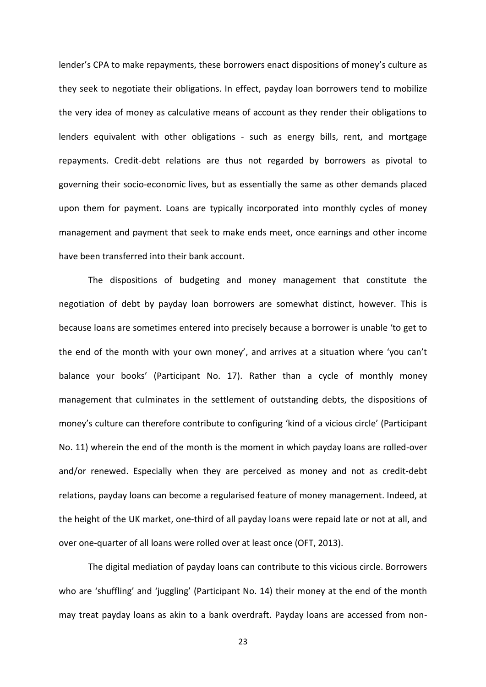lender's CPA to make repayments, these borrowers enact dispositions of money's culture as they seek to negotiate their obligations. In effect, payday loan borrowers tend to mobilize the very idea of money as calculative means of account as they render their obligations to lenders equivalent with other obligations - such as energy bills, rent, and mortgage repayments. Credit-debt relations are thus not regarded by borrowers as pivotal to governing their socio-economic lives, but as essentially the same as other demands placed upon them for payment. Loans are typically incorporated into monthly cycles of money management and payment that seek to make ends meet, once earnings and other income have been transferred into their bank account.

The dispositions of budgeting and money management that constitute the negotiation of debt by payday loan borrowers are somewhat distinct, however. This is because loans are sometimes entered into precisely because a borrower is unable 'to get to the end of the month with your own money', and arrives at a situation where 'you can't balance your books' (Participant No. 17). Rather than a cycle of monthly money management that culminates in the settlement of outstanding debts, the dispositions of money's culture can therefore contribute to configuring 'kind of a vicious circle' (Participant No. 11) wherein the end of the month is the moment in which payday loans are rolled-over and/or renewed. Especially when they are perceived as money and not as credit-debt relations, payday loans can become a regularised feature of money management. Indeed, at the height of the UK market, one-third of all payday loans were repaid late or not at all, and over one-quarter of all loans were rolled over at least once (OFT, 2013).

The digital mediation of payday loans can contribute to this vicious circle. Borrowers who are 'shuffling' and 'juggling' (Participant No. 14) their money at the end of the month may treat payday loans as akin to a bank overdraft. Payday loans are accessed from non-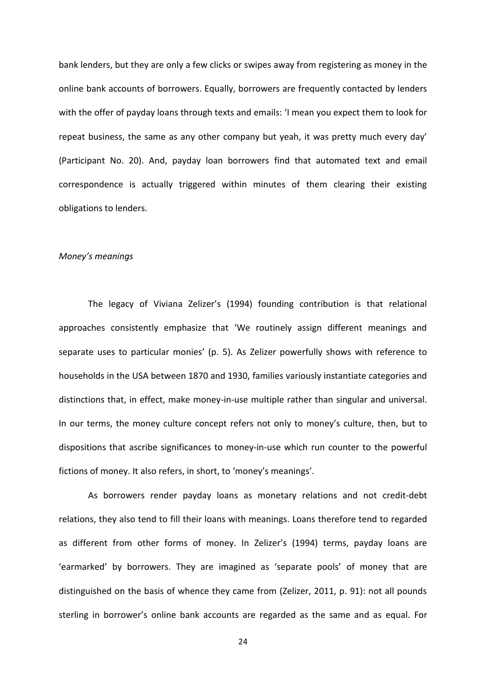bank lenders, but they are only a few clicks or swipes away from registering as money in the online bank accounts of borrowers. Equally, borrowers are frequently contacted by lenders with the offer of payday loans through texts and emails: 'I mean you expect them to look for repeat business, the same as any other company but yeah, it was pretty much every day' (Participant No. 20). And, payday loan borrowers find that automated text and email correspondence is actually triggered within minutes of them clearing their existing obligations to lenders.

## *Money's meanings*

The legacy of Viviana Zelizer's (1994) founding contribution is that relational approaches consistently emphasize that 'We routinely assign different meanings and separate uses to particular monies' (p. 5). As Zelizer powerfully shows with reference to households in the USA between 1870 and 1930, families variously instantiate categories and distinctions that, in effect, make money-in-use multiple rather than singular and universal. In our terms, the money culture concept refers not only to money's culture, then, but to dispositions that ascribe significances to money-in-use which run counter to the powerful fictions of money. It also refers, in short, to 'money's meanings'.

As borrowers render payday loans as monetary relations and not credit-debt relations, they also tend to fill their loans with meanings. Loans therefore tend to regarded as different from other forms of money. In Zelizer's (1994) terms, payday loans are 'earmarked' by borrowers. They are imagined as 'separate pools' of money that are distinguished on the basis of whence they came from (Zelizer, 2011, p. 91): not all pounds sterling in borrower's online bank accounts are regarded as the same and as equal. For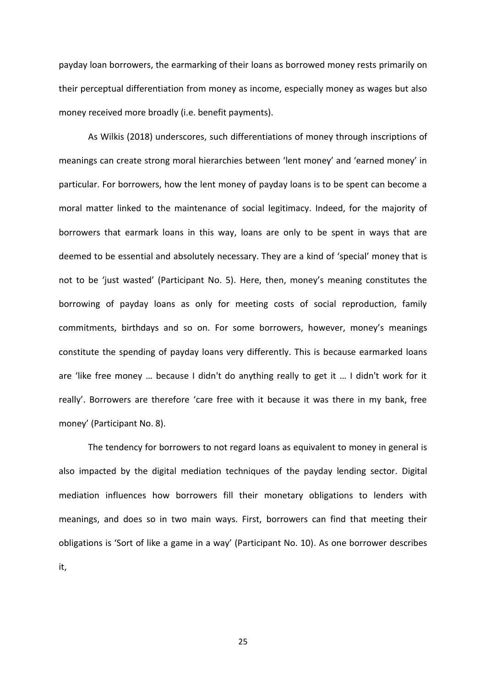payday loan borrowers, the earmarking of their loans as borrowed money rests primarily on their perceptual differentiation from money as income, especially money as wages but also money received more broadly (i.e. benefit payments).

As Wilkis (2018) underscores, such differentiations of money through inscriptions of meanings can create strong moral hierarchies between 'lent money' and 'earned money' in particular. For borrowers, how the lent money of payday loans is to be spent can become a moral matter linked to the maintenance of social legitimacy. Indeed, for the majority of borrowers that earmark loans in this way, loans are only to be spent in ways that are deemed to be essential and absolutely necessary. They are a kind of 'special' money that is not to be 'just wasted' (Participant No. 5). Here, then, money's meaning constitutes the borrowing of payday loans as only for meeting costs of social reproduction, family commitments, birthdays and so on. For some borrowers, however, money's meanings constitute the spending of payday loans very differently. This is because earmarked loans are 'like free money ... because I didn't do anything really to get it ... I didn't work for it really'. Borrowers are therefore 'care free with it because it was there in my bank, free money' (Participant No. 8).

The tendency for borrowers to not regard loans as equivalent to money in general is also impacted by the digital mediation techniques of the payday lending sector. Digital mediation influences how borrowers fill their monetary obligations to lenders with meanings, and does so in two main ways. First, borrowers can find that meeting their obligations is 'Sort of like a game in a way' (Participant No. 10). As one borrower describes it,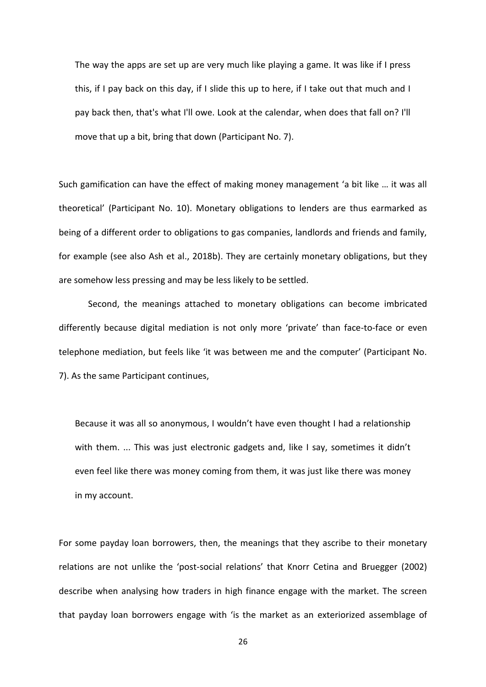The way the apps are set up are very much like playing a game. It was like if I press this, if I pay back on this day, if I slide this up to here, if I take out that much and I pay back then, that's what I'll owe. Look at the calendar, when does that fall on? I'll move that up a bit, bring that down (Participant No. 7).

Such gamification can have the effect of making money management 'a bit like … it was all theoretical' (Participant No. 10). Monetary obligations to lenders are thus earmarked as being of a different order to obligations to gas companies, landlords and friends and family, for example (see also Ash et al., 2018b). They are certainly monetary obligations, but they are somehow less pressing and may be less likely to be settled.

Second, the meanings attached to monetary obligations can become imbricated differently because digital mediation is not only more 'private' than face-to-face or even telephone mediation, but feels like 'it was between me and the computer' (Participant No. 7). As the same Participant continues,

Because it was all so anonymous, I wouldn't have even thought I had a relationship with them. ... This was just electronic gadgets and, like I say, sometimes it didn't even feel like there was money coming from them, it was just like there was money in my account.

For some payday loan borrowers, then, the meanings that they ascribe to their monetary relations are not unlike the 'post-social relations' that Knorr Cetina and Bruegger (2002) describe when analysing how traders in high finance engage with the market. The screen that payday loan borrowers engage with 'is the market as an exteriorized assemblage of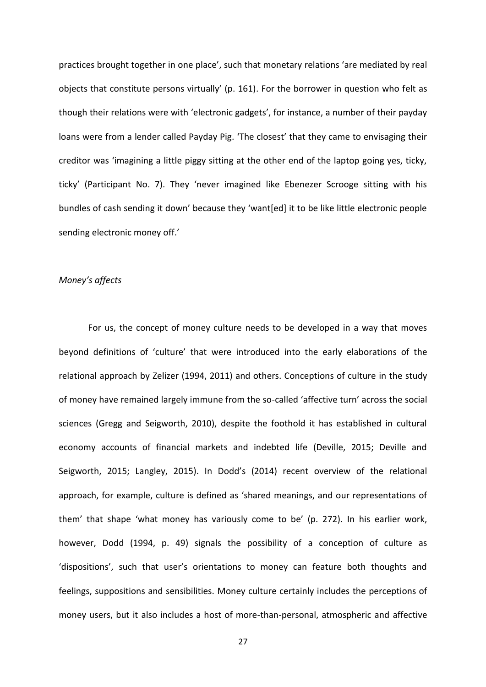practices brought together in one place', such that monetary relations 'are mediated by real objects that constitute persons virtually' (p. 161). For the borrower in question who felt as though their relations were with 'electronic gadgets', for instance, a number of their payday loans were from a lender called Payday Pig. 'The closest' that they came to envisaging their creditor was 'imagining a little piggy sitting at the other end of the laptop going yes, ticky, ticky' (Participant No. 7). They 'never imagined like Ebenezer Scrooge sitting with his bundles of cash sending it down' because they 'want[ed] it to be like little electronic people sending electronic money off.'

# *Money's affects*

For us, the concept of money culture needs to be developed in a way that moves beyond definitions of 'culture' that were introduced into the early elaborations of the relational approach by Zelizer (1994, 2011) and others. Conceptions of culture in the study of money have remained largely immune from the so-called 'affective turn' across the social sciences (Gregg and Seigworth, 2010), despite the foothold it has established in cultural economy accounts of financial markets and indebted life (Deville, 2015; Deville and Seigworth, 2015; Langley, 2015). In Dodd's (2014) recent overview of the relational approach, for example, culture is defined as 'shared meanings, and our representations of them' that shape 'what money has variously come to be' (p. 272). In his earlier work, however, Dodd (1994, p. 49) signals the possibility of a conception of culture as 'dispositions', such that user's orientations to money can feature both thoughts and feelings, suppositions and sensibilities. Money culture certainly includes the perceptions of money users, but it also includes a host of more-than-personal, atmospheric and affective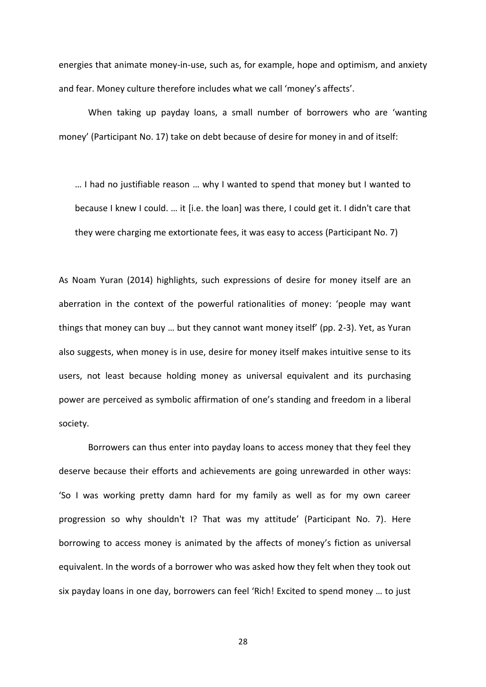energies that animate money-in-use, such as, for example, hope and optimism, and anxiety and fear. Money culture therefore includes what we call 'money's affects'.

When taking up payday loans, a small number of borrowers who are 'wanting money' (Participant No. 17) take on debt because of desire for money in and of itself:

… I had no justifiable reason … why I wanted to spend that money but I wanted to because I knew I could. … it [i.e. the loan] was there, I could get it. I didn't care that they were charging me extortionate fees, it was easy to access (Participant No. 7)

As Noam Yuran (2014) highlights, such expressions of desire for money itself are an aberration in the context of the powerful rationalities of money: 'people may want things that money can buy … but they cannot want money itself' (pp. 2-3). Yet, as Yuran also suggests, when money is in use, desire for money itself makes intuitive sense to its users, not least because holding money as universal equivalent and its purchasing power are perceived as symbolic affirmation of one's standing and freedom in a liberal society.

Borrowers can thus enter into payday loans to access money that they feel they deserve because their efforts and achievements are going unrewarded in other ways: 'So I was working pretty damn hard for my family as well as for my own career progression so why shouldn't I? That was my attitude' (Participant No. 7). Here borrowing to access money is animated by the affects of money's fiction as universal equivalent. In the words of a borrower who was asked how they felt when they took out six payday loans in one day, borrowers can feel 'Rich! Excited to spend money … to just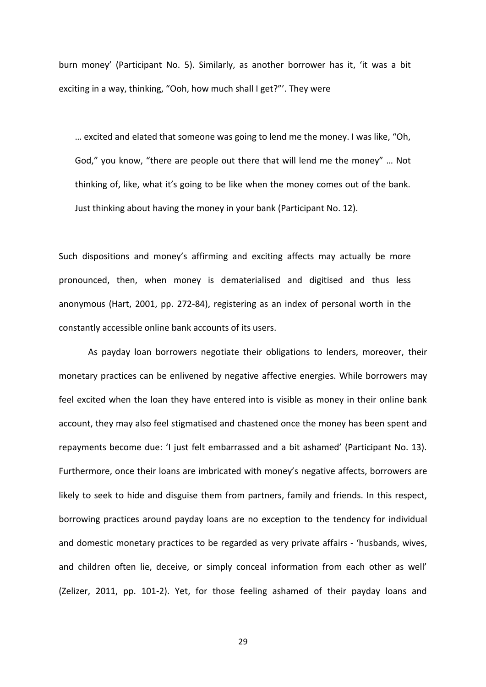burn money' (Participant No. 5). Similarly, as another borrower has it, 'it was a bit exciting in a way, thinking, "Ooh, how much shall I get?"'. They were

… excited and elated that someone was going to lend me the money. I was like, "Oh, God," you know, "there are people out there that will lend me the money" … Not thinking of, like, what it's going to be like when the money comes out of the bank. Just thinking about having the money in your bank (Participant No. 12).

Such dispositions and money's affirming and exciting affects may actually be more pronounced, then, when money is dematerialised and digitised and thus less anonymous (Hart, 2001, pp. 272-84), registering as an index of personal worth in the constantly accessible online bank accounts of its users.

As payday loan borrowers negotiate their obligations to lenders, moreover, their monetary practices can be enlivened by negative affective energies. While borrowers may feel excited when the loan they have entered into is visible as money in their online bank account, they may also feel stigmatised and chastened once the money has been spent and repayments become due: 'I just felt embarrassed and a bit ashamed' (Participant No. 13). Furthermore, once their loans are imbricated with money's negative affects, borrowers are likely to seek to hide and disguise them from partners, family and friends. In this respect, borrowing practices around payday loans are no exception to the tendency for individual and domestic monetary practices to be regarded as very private affairs - 'husbands, wives, and children often lie, deceive, or simply conceal information from each other as well' (Zelizer, 2011, pp. 101-2). Yet, for those feeling ashamed of their payday loans and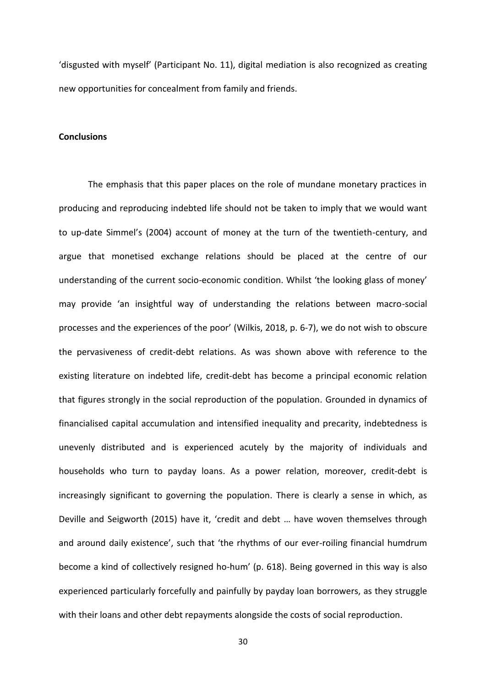'disgusted with myself' (Participant No. 11), digital mediation is also recognized as creating new opportunities for concealment from family and friends.

### **Conclusions**

The emphasis that this paper places on the role of mundane monetary practices in producing and reproducing indebted life should not be taken to imply that we would want to up-date Simmel's (2004) account of money at the turn of the twentieth-century, and argue that monetised exchange relations should be placed at the centre of our understanding of the current socio-economic condition. Whilst 'the looking glass of money' may provide 'an insightful way of understanding the relations between macro-social processes and the experiences of the poor' (Wilkis, 2018, p. 6-7), we do not wish to obscure the pervasiveness of credit-debt relations. As was shown above with reference to the existing literature on indebted life, credit-debt has become a principal economic relation that figures strongly in the social reproduction of the population. Grounded in dynamics of financialised capital accumulation and intensified inequality and precarity, indebtedness is unevenly distributed and is experienced acutely by the majority of individuals and households who turn to payday loans. As a power relation, moreover, credit-debt is increasingly significant to governing the population. There is clearly a sense in which, as Deville and Seigworth (2015) have it, 'credit and debt … have woven themselves through and around daily existence', such that 'the rhythms of our ever-roiling financial humdrum become a kind of collectively resigned ho-hum' (p. 618). Being governed in this way is also experienced particularly forcefully and painfully by payday loan borrowers, as they struggle with their loans and other debt repayments alongside the costs of social reproduction.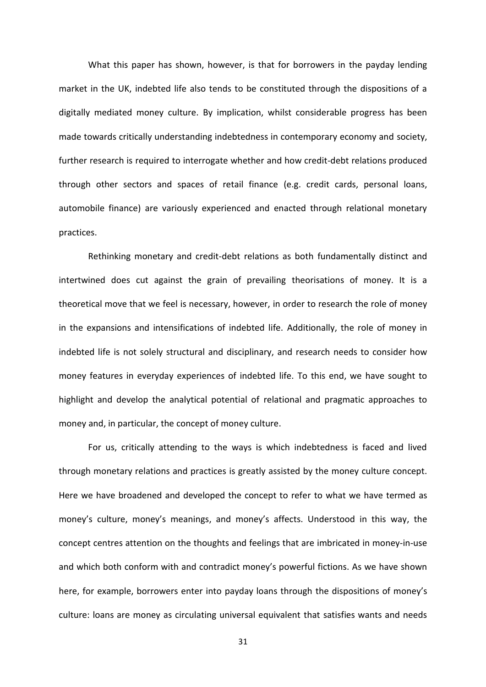What this paper has shown, however, is that for borrowers in the payday lending market in the UK, indebted life also tends to be constituted through the dispositions of a digitally mediated money culture. By implication, whilst considerable progress has been made towards critically understanding indebtedness in contemporary economy and society, further research is required to interrogate whether and how credit-debt relations produced through other sectors and spaces of retail finance (e.g. credit cards, personal loans, automobile finance) are variously experienced and enacted through relational monetary practices.

Rethinking monetary and credit-debt relations as both fundamentally distinct and intertwined does cut against the grain of prevailing theorisations of money. It is a theoretical move that we feel is necessary, however, in order to research the role of money in the expansions and intensifications of indebted life. Additionally, the role of money in indebted life is not solely structural and disciplinary, and research needs to consider how money features in everyday experiences of indebted life. To this end, we have sought to highlight and develop the analytical potential of relational and pragmatic approaches to money and, in particular, the concept of money culture.

For us, critically attending to the ways is which indebtedness is faced and lived through monetary relations and practices is greatly assisted by the money culture concept. Here we have broadened and developed the concept to refer to what we have termed as money's culture, money's meanings, and money's affects. Understood in this way, the concept centres attention on the thoughts and feelings that are imbricated in money-in-use and which both conform with and contradict money's powerful fictions. As we have shown here, for example, borrowers enter into payday loans through the dispositions of money's culture: loans are money as circulating universal equivalent that satisfies wants and needs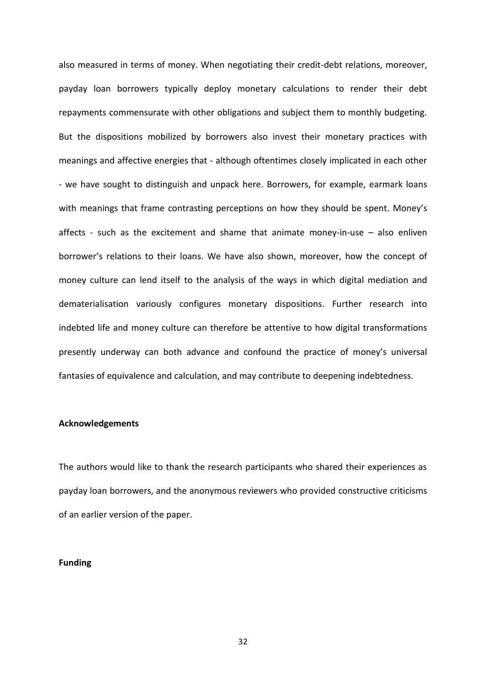also measured in terms of money. When negotiating their credit-debt relations, moreover, payday loan borrowers typically deploy monetary calculations to render their debt repayments commensurate with other obligations and subject them to monthly budgeting. But the dispositions mobilized by borrowers also invest their monetary practices with meanings and affective energies that - although oftentimes closely implicated in each other - we have sought to distinguish and unpack here. Borrowers, for example, earmark loans with meanings that frame contrasting perceptions on how they should be spent. Money's affects - such as the excitement and shame that animate money-in-use – also enliven borrower's relations to their loans. We have also shown, moreover, how the concept of money culture can lend itself to the analysis of the ways in which digital mediation and dematerialisation variously configures monetary dispositions. Further research into indebted life and money culture can therefore be attentive to how digital transformations presently underway can both advance and confound the practice of money's universal fantasies of equivalence and calculation, and may contribute to deepening indebtedness.

# **Acknowledgements**

The authors would like to thank the research participants who shared their experiences as payday loan borrowers, and the anonymous reviewers who provided constructive criticisms of an earlier version of the paper.

## **Funding**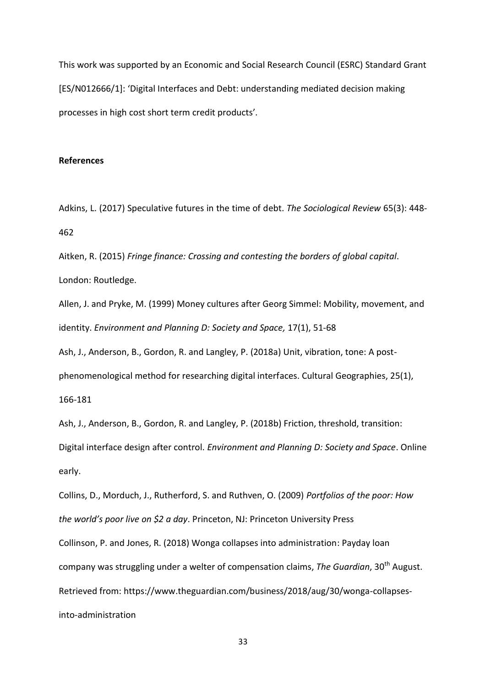This work was supported by an Economic and Social Research Council (ESRC) Standard Grant [ES/N012666/1]: 'Digital Interfaces and Debt: understanding mediated decision making processes in high cost short term credit products'.

# **References**

Adkins, L. (2017) Speculative futures in the time of debt. *The Sociological Review* 65(3): 448- 462

Aitken, R. (2015) *Fringe finance: Crossing and contesting the borders of global capital*. London: Routledge.

Allen, J. and Pryke, M. (1999) Money cultures after Georg Simmel: Mobility, movement, and identity. *Environment and Planning D: Society and Space,* 17(1), 51-68

Ash, J., Anderson, B., Gordon, R. and Langley, P. (2018a) Unit, vibration, tone: A post-

phenomenological method for researching digital interfaces. Cultural Geographies, 25(1),

166-181

Ash, J., Anderson, B., Gordon, R. and Langley, P. (2018b) Friction, threshold, transition: Digital interface design after control. *Environment and Planning D: Society and Space*. Online early.

Collins, D., Morduch, J., Rutherford, S. and Ruthven, O. (2009) *Portfolios of the poor: How the world's poor live on \$2 a day*. Princeton, NJ: Princeton University Press Collinson, P. and Jones, R. (2018) Wonga collapses into administration: Payday loan company was struggling under a welter of compensation claims, *The Guardian*, 30<sup>th</sup> August. Retrieved from: https://www.theguardian.com/business/2018/aug/30/wonga-collapsesinto-administration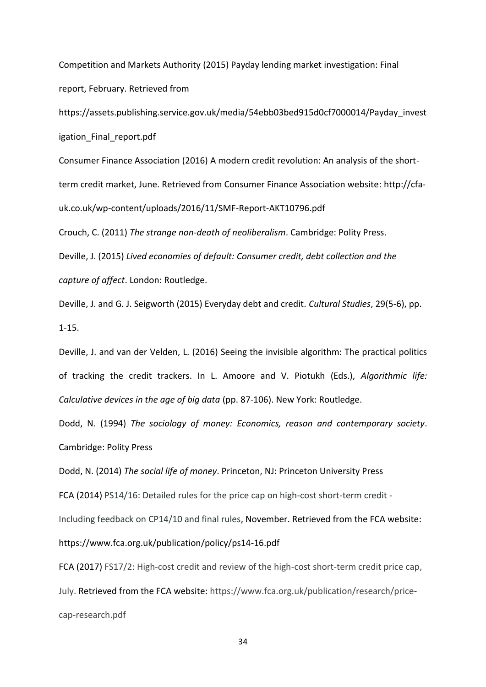Competition and Markets Authority (2015) Payday lending market investigation: Final report, February. Retrieved from

https://assets.publishing.service.gov.uk/media/54ebb03bed915d0cf7000014/Payday\_invest igation Final report.pdf

Consumer Finance Association (2016) A modern credit revolution: An analysis of the shortterm credit market, June. Retrieved from Consumer Finance Association website: http://cfauk.co.uk/wp-content/uploads/2016/11/SMF-Report-AKT10796.pdf

Crouch, C. (2011) *The strange non-death of neoliberalism*. Cambridge: Polity Press.

Deville, J. (2015) *Lived economies of default: Consumer credit, debt collection and the capture of affect*. London: Routledge.

Deville, J. and G. J. Seigworth (2015) Everyday debt and credit. *Cultural Studies*, 29(5-6), pp. 1-15.

Deville, J. and van der Velden, L. (2016) Seeing the invisible algorithm: The practical politics of tracking the credit trackers. In L. Amoore and V. Piotukh (Eds.), *Algorithmic life: Calculative devices in the age of big data* (pp. 87-106). New York: Routledge.

Dodd, N. (1994) *The sociology of money: Economics, reason and contemporary society*. Cambridge: Polity Press

Dodd, N. (2014) *The social life of money*. Princeton, NJ: Princeton University Press

FCA (2014) PS14/16: Detailed rules for the price cap on high-cost short-term credit -

Including feedback on CP14/10 and final rules, November. Retrieved from the FCA website:

https://www.fca.org.uk/publication/policy/ps14-16.pdf

FCA (2017) FS17/2: High-cost credit and review of the high-cost short-term credit price cap, July. Retrieved from the FCA website: https://www.fca.org.uk/publication/research/pricecap-research.pdf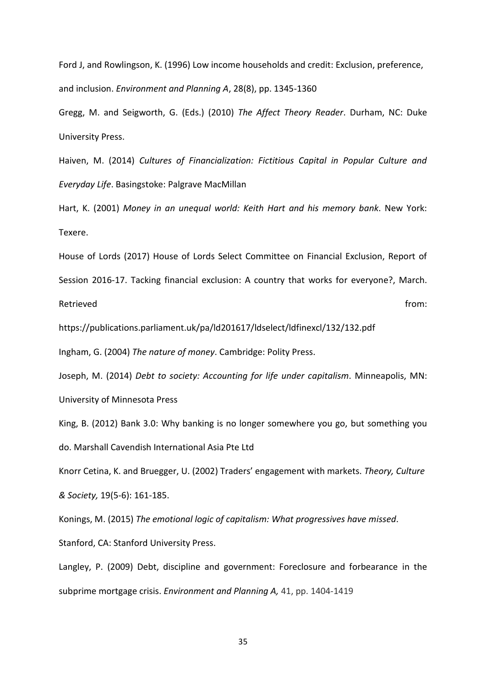Ford J, and Rowlingson, K. (1996) Low income households and credit: Exclusion, preference, and inclusion. *Environment and Planning A*, 28(8), pp. 1345-1360

Gregg, M. and Seigworth, G. (Eds.) (2010) *The Affect Theory Reader*. Durham, NC: Duke University Press.

Haiven, M. (2014) *Cultures of Financialization: Fictitious Capital in Popular Culture and Everyday Life*. Basingstoke: Palgrave MacMillan

Hart, K. (2001) *Money in an unequal world: Keith Hart and his memory bank*. New York: Texere.

House of Lords (2017) House of Lords Select Committee on Financial Exclusion, Report of Session 2016-17. Tacking financial exclusion: A country that works for everyone?, March. Retrieved **from:** the contract of the contract of the contract of the contract of the contract of the contract of the contract of the contract of the contract of the contract of the contract of the contract of the contract

https://publications.parliament.uk/pa/ld201617/ldselect/ldfinexcl/132/132.pdf

Ingham, G. (2004) *The nature of money*. Cambridge: Polity Press.

Joseph, M. (2014) *Debt to society: Accounting for life under capitalism*. Minneapolis, MN: University of Minnesota Press

King, B. (2012) Bank 3.0: Why banking is no longer somewhere you go, but something you do. Marshall Cavendish International Asia Pte Ltd

Knorr Cetina, K. and Bruegger, U. (2002) Traders' engagement with markets. *Theory, Culture & Society,* 19(5-6): 161-185.

Konings, M. (2015) *The emotional logic of capitalism: What progressives have missed*. Stanford, CA: Stanford University Press.

Langley, P. (2009) Debt, discipline and government: Foreclosure and forbearance in the subprime mortgage crisis. *Environment and Planning A,* 41, pp. 1404-1419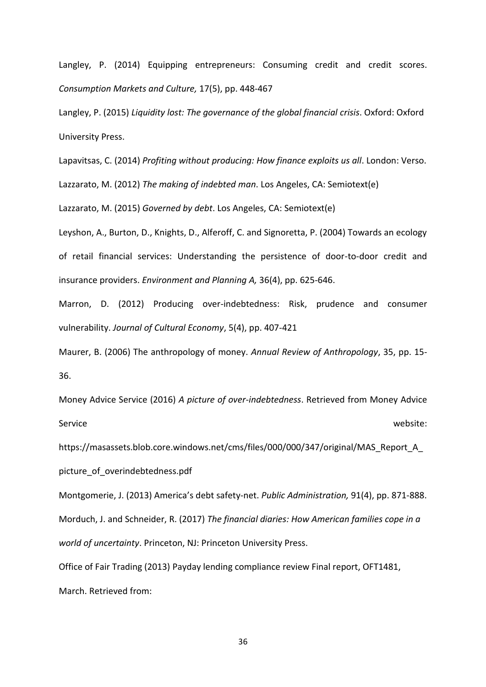Langley, P. (2014) Equipping entrepreneurs: Consuming credit and credit scores. *Consumption Markets and Culture,* 17(5), pp. 448-467

Langley, P. (2015) *Liquidity lost: The governance of the global financial crisis*. Oxford: Oxford University Press.

Lapavitsas, C. (2014) *Profiting without producing: How finance exploits us all*. London: Verso.

Lazzarato, M. (2012) *The making of indebted man*. Los Angeles, CA: Semiotext(e)

Lazzarato, M. (2015) *Governed by debt*. Los Angeles, CA: Semiotext(e)

Leyshon, A., Burton, D., Knights, D., Alferoff, C. and Signoretta, P. (2004) Towards an ecology of retail financial services: Understanding the persistence of door-to-door credit and insurance providers. *Environment and Planning A,* 36(4), pp. 625-646.

Marron, D. (2012) Producing over-indebtedness: Risk, prudence and consumer vulnerability. *Journal of Cultural Economy*, 5(4), pp. 407-421

Maurer, B. (2006) The anthropology of money. *Annual Review of Anthropology*, 35, pp. 15- 36.

Money Advice Service (2016) *A picture of over-indebtedness*. Retrieved from Money Advice Service website:

https://masassets.blob.core.windows.net/cms/files/000/000/347/original/MAS\_Report\_A\_ picture\_of\_overindebtedness.pdf

Montgomerie, J. (2013) America's debt safety-net. *Public Administration,* 91(4), pp. 871-888. Morduch, J. and Schneider, R. (2017) *The financial diaries: How American families cope in a world of uncertainty*. Princeton, NJ: Princeton University Press.

Office of Fair Trading (2013) Payday lending compliance review Final report, OFT1481, March. Retrieved from: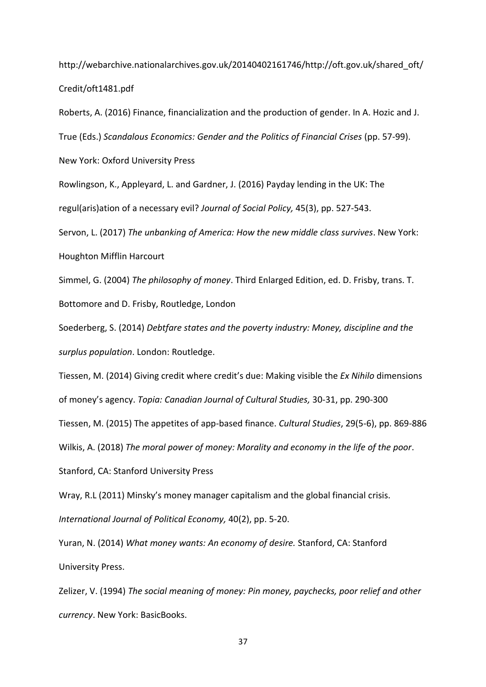http://webarchive.nationalarchives.gov.uk/20140402161746/http://oft.gov.uk/shared\_oft/ Credit/oft1481.pdf

Roberts, A. (2016) Finance, financialization and the production of gender. In A. Hozic and J. True (Eds.) *Scandalous Economics: Gender and the Politics of Financial Crises* (pp. 57-99).

New York: Oxford University Press

Rowlingson, K., Appleyard, L. and Gardner, J. (2016) Payday lending in the UK: The regul(aris)ation of a necessary evil? *Journal of Social Policy,* 45(3), pp. 527-543.

Servon, L. (2017) *The unbanking of America: How the new middle class survives*. New York: Houghton Mifflin Harcourt

Simmel, G. (2004) *The philosophy of money*. Third Enlarged Edition, ed. D. Frisby, trans. T. Bottomore and D. Frisby, Routledge, London

Soederberg, S. (2014) *Debtfare states and the poverty industry: Money, discipline and the surplus population*. London: Routledge.

Tiessen, M. (2014) Giving credit where credit's due: Making visible the *Ex Nihilo* dimensions of money's agency. *Topia: Canadian Journal of Cultural Studies,* 30-31, pp. 290-300

Tiessen, M. (2015) The appetites of app-based finance. *Cultural Studies*, 29(5-6), pp. 869-886

Wilkis, A. (2018) *The moral power of money: Morality and economy in the life of the poor*.

Stanford, CA: Stanford University Press

Wray, R.L (2011) Minsky's money manager capitalism and the global financial crisis. *International Journal of Political Economy,* 40(2), pp. 5-20.

Yuran, N. (2014) *What money wants: An economy of desire.* Stanford, CA: Stanford University Press.

Zelizer, V. (1994) *The social meaning of money: Pin money, paychecks, poor relief and other currency*. New York: BasicBooks.